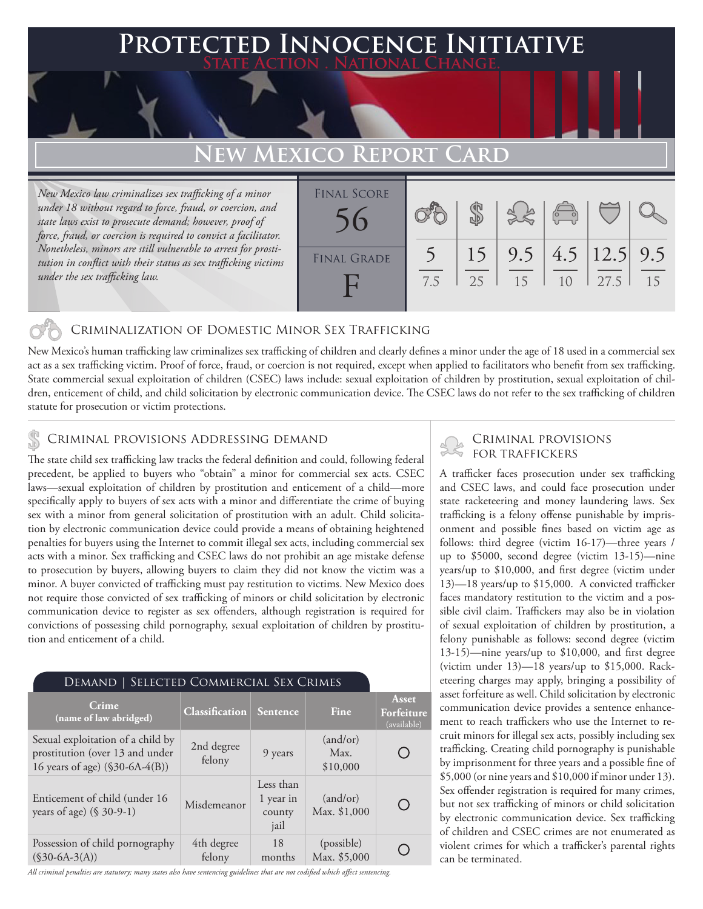## **PTED INNOCENCE INITIATIVE State Action . National Change.**

# **New Mexico Report Card**

*New Mexico law criminalizes sex trafficking of a minor under 18 without regard to force, fraud, or coercion, and state laws exist to prosecute demand; however, proof of force, fraud, or coercion is required to convict a facilitator. Nonetheless, minors are still vulnerable to arrest for prostitution in conflict with their status as sex trafficking victims under the sex trafficking law.*

| <b>FINAL SCORE</b> |     |          |           | $\sqrt{\frac{1}{10}}$ |                          |    |
|--------------------|-----|----------|-----------|-----------------------|--------------------------|----|
| <b>FINAL GRADE</b> | 7.5 | 15<br>25 | 9.5<br>15 | 10                    | 4.5 $ 12.5 $ 9.5<br>27.5 | 15 |

### Criminalization of Domestic Minor Sex Trafficking

New Mexico's human trafficking law criminalizes sex trafficking of children and clearly defines a minor under the age of 18 used in a commercial sex act as a sex trafficking victim. Proof of force, fraud, or coercion is not required, except when applied to facilitators who benefit from sex trafficking. State commercial sexual exploitation of children (CSEC) laws include: sexual exploitation of children by prostitution, sexual exploitation of children, enticement of child, and child solicitation by electronic communication device. The CSEC laws do not refer to the sex trafficking of children statute for prosecution or victim protections.

# CRIMINAL PROVISIONS ADDRESSING DEMAND<br>The state shild our trafficking law tracks the federal definition and could following federal Second FOR TRAFFICKERS

The state child sex trafficking law tracks the federal definition and could, following federal precedent, be applied to buyers who "obtain" a minor for commercial sex acts. CSEC laws—sexual exploitation of children by prostitution and enticement of a child—more specifically apply to buyers of sex acts with a minor and differentiate the crime of buying sex with a minor from general solicitation of prostitution with an adult. Child solicitation by electronic communication device could provide a means of obtaining heightened penalties for buyers using the Internet to commit illegal sex acts, including commercial sex acts with a minor. Sex trafficking and CSEC laws do not prohibit an age mistake defense to prosecution by buyers, allowing buyers to claim they did not know the victim was a minor. A buyer convicted of trafficking must pay restitution to victims. New Mexico does not require those convicted of sex trafficking of minors or child solicitation by electronic communication device to register as sex offenders, although registration is required for convictions of possessing child pornography, sexual exploitation of children by prostitution and enticement of a child.

| SELECTED COMMERCIAL SEX CRIMES<br>Demand 1                                                              |                       |                                          |                              |                                           |  |  |  |  |
|---------------------------------------------------------------------------------------------------------|-----------------------|------------------------------------------|------------------------------|-------------------------------------------|--|--|--|--|
| <b>Crime</b><br>(name of law abridged)                                                                  | <b>Classification</b> | Sentence                                 | Fine                         | <b>Asset</b><br>Forfeiture<br>(available) |  |  |  |  |
| Sexual exploitation of a child by<br>prostitution (over 13 and under<br>16 years of age) (\$30-6A-4(B)) | 2nd degree<br>felony  | 9 years                                  | (and/or)<br>Max.<br>\$10,000 |                                           |  |  |  |  |
| Enticement of child (under 16<br>years of age) $(\$ 30-9-1)$                                            | Misdemeanor           | Less than<br>1 year in<br>county<br>jail | (and/or)<br>Max. \$1,000     |                                           |  |  |  |  |
| Possession of child pornography<br>$(S30-6A-3(A))$                                                      | 4th degree<br>felony  | 18<br>months                             | (possible)<br>Max. \$5,000   |                                           |  |  |  |  |

*All criminal penalties are statutory; many states also have sentencing guidelines that are not codified which affect sentencing.* 

A trafficker faces prosecution under sex trafficking and CSEC laws, and could face prosecution under state racketeering and money laundering laws. Sex trafficking is a felony offense punishable by imprisonment and possible fines based on victim age as follows: third degree (victim 16-17)—three years / up to \$5000, second degree (victim 13-15)—nine years/up to \$10,000, and first degree (victim under 13)—18 years/up to \$15,000. A convicted trafficker faces mandatory restitution to the victim and a possible civil claim. Traffickers may also be in violation of sexual exploitation of children by prostitution, a felony punishable as follows: second degree (victim 13-15)—nine years/up to \$10,000, and first degree (victim under 13)—18 years/up to \$15,000. Racketeering charges may apply, bringing a possibility of asset forfeiture as well. Child solicitation by electronic communication device provides a sentence enhancement to reach traffickers who use the Internet to recruit minors for illegal sex acts, possibly including sex trafficking. Creating child pornography is punishable by imprisonment for three years and a possible fine of \$5,000 (or nine years and \$10,000 if minor under 13). Sex offender registration is required for many crimes, but not sex trafficking of minors or child solicitation by electronic communication device. Sex trafficking of children and CSEC crimes are not enumerated as violent crimes for which a trafficker's parental rights can be terminated.